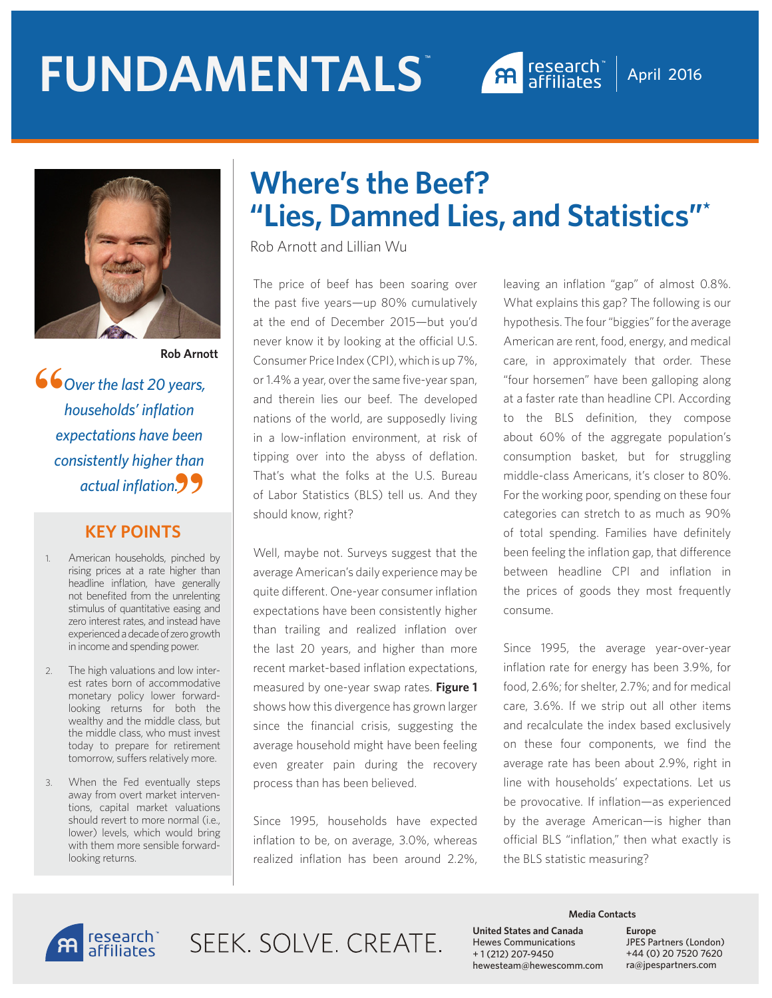# **FUNDAMENTALS** ™



April 2016



 *Over the last 20 years, households' inflation expectations have been consistently higher than actual inflation.* **""**

#### **KEY POINTS**

- 1. American households, pinched by rising prices at a rate higher than headline inflation, have generally not benefited from the unrelenting stimulus of quantitative easing and zero interest rates, and instead have experienced a decade of zero growth in income and spending power.
- 2. The high valuations and low interest rates born of accommodative monetary policy lower forwardlooking returns for both the wealthy and the middle class, but the middle class, who must invest today to prepare for retirement tomorrow, suffers relatively more.
- 3. When the Fed eventually steps away from overt market interventions, capital market valuations should revert to more normal (i.e., lower) levels, which would bring with them more sensible forwardlooking returns.

## **Where's the Beef? "Lies, Damned Lies, and Statistics"\***

Rob Arnott and Lillian Wu

The price of beef has been soaring over the past five years—up 80% cumulatively at the end of December 2015—but you'd never know it by looking at the official U.S. Consumer Price Index (CPI), which is up 7%, or 1.4% a year, over the same five-year span, and therein lies our beef. The developed nations of the world, are supposedly living in a low-inflation environment, at risk of tipping over into the abyss of deflation. That's what the folks at the U.S. Bureau of Labor Statistics (BLS) tell us. And they should know, right?

Well, maybe not. Surveys suggest that the average American's daily experience may be quite different. One-year consumer inflation expectations have been consistently higher than trailing and realized inflation over the last 20 years, and higher than more recent market-based inflation expectations, measured by one-year swap rates. **Figure 1** shows how this divergence has grown larger since the financial crisis, suggesting the average household might have been feeling even greater pain during the recovery process than has been believed.

Since 1995, households have expected inflation to be, on average, 3.0%, whereas realized inflation has been around 2.2%, leaving an inflation "gap" of almost 0.8%. What explains this gap? The following is our hypothesis. The four "biggies" for the average American are rent, food, energy, and medical care, in approximately that order. These "four horsemen" have been galloping along at a faster rate than headline CPI. According to the BLS definition, they compose about 60% of the aggregate population's consumption basket, but for struggling middle-class Americans, it's closer to 80%. For the working poor, spending on these four categories can stretch to as much as 90% of total spending. Families have definitely been feeling the inflation gap, that difference between headline CPI and inflation in the prices of goods they most frequently consume.

Since 1995, the average year-over-year inflation rate for energy has been 3.9%, for food, 2.6%; for shelter, 2.7%; and for medical care, 3.6%. If we strip out all other items and recalculate the index based exclusively on these four components, we find the average rate has been about 2.9%, right in line with households' expectations. Let us be provocative. If inflation—as experienced by the average American—is higher than official BLS "inflation," then what exactly is the BLS statistic measuring?



SFFK SOLVE CREATE

#### **Media Contacts**

**United States and Canada**  Hewes Communications + 1 (212) 207-9450 hewesteam@hewescomm.com **Europe** JPES Partners (London) +44 (0) 20 7520 7620 ra@jpespartners.com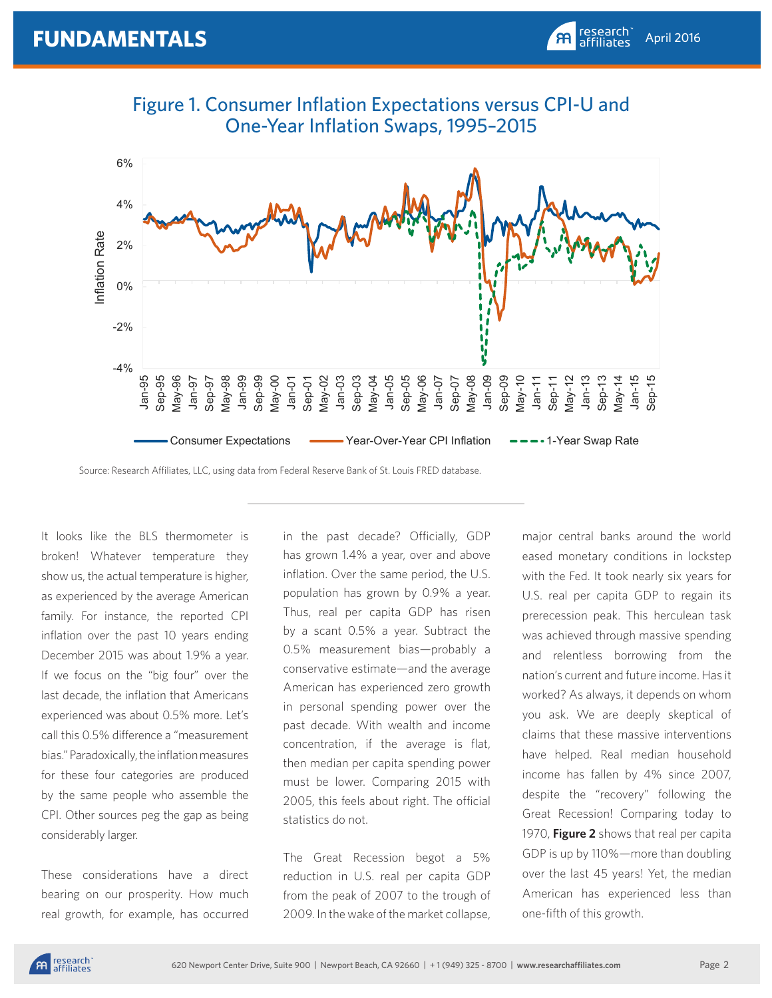



Source: Research Affiliates, LLC, using data from Federal Reserve Bank of St. Louis FRED database.

It looks like the BLS thermometer is broken! Whatever temperature they show us, the actual temperature is higher, as experienced by the average American family. For instance, the reported CPI inflation over the past 10 years ending December 2015 was about 1.9% a year. If we focus on the "big four" over the last decade, the inflation that Americans experienced was about 0.5% more. Let's call this 0.5% difference a "measurement bias." Paradoxically, the inflation measures for these four categories are produced by the same people who assemble the CPI. Other sources peg the gap as being considerably larger.

These considerations have a direct bearing on our prosperity. How much real growth, for example, has occurred in the past decade? Officially, GDP has grown 1.4% a year, over and above inflation. Over the same period, the U.S. population has grown by 0.9% a year. Thus, real per capita GDP has risen by a scant 0.5% a year. Subtract the 0.5% measurement bias—probably a conservative estimate—and the average American has experienced zero growth in personal spending power over the past decade. With wealth and income concentration, if the average is flat, then median per capita spending power must be lower. Comparing 2015 with 2005, this feels about right. The official statistics do not.

The Great Recession begot a 5% reduction in U.S. real per capita GDP from the peak of 2007 to the trough of 2009. In the wake of the market collapse,

major central banks around the world eased monetary conditions in lockstep with the Fed. It took nearly six years for U.S. real per capita GDP to regain its prerecession peak. This herculean task was achieved through massive spending and relentless borrowing from the nation's current and future income. Has it worked? As always, it depends on whom you ask. We are deeply skeptical of claims that these massive interventions have helped. Real median household income has fallen by 4% since 2007, despite the "recovery" following the Great Recession! Comparing today to 1970, **Figure 2** shows that real per capita GDP is up by 110%—more than doubling over the last 45 years! Yet, the median American has experienced less than one-fifth of this growth.

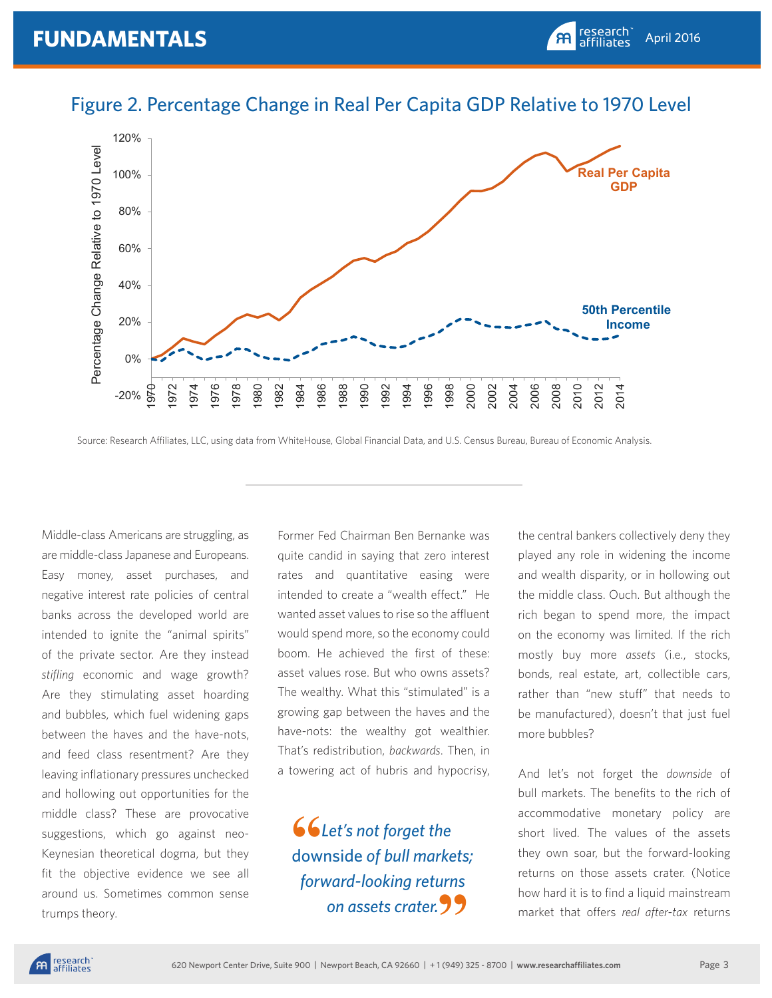

#### Figure 2. Percentage Change in Real Per Capita GDP Relative to 1970 Level

Source: Research Affiliates, LLC, using data from WhiteHouse, Global Financial Data, and U.S. Census Bureau, Bureau of Economic Analysis.

Middle-class Americans are struggling, as are middle-class Japanese and Europeans. Easy money, asset purchases, and negative interest rate policies of central banks across the developed world are intended to ignite the "animal spirits" of the private sector. Are they instead *stifling* economic and wage growth? Are they stimulating asset hoarding and bubbles, which fuel widening gaps between the haves and the have-nots, and feed class resentment? Are they leaving inflationary pressures unchecked and hollowing out opportunities for the middle class? These are provocative suggestions, which go against neo-Keynesian theoretical dogma, but they fit the objective evidence we see all around us. Sometimes common sense trumps theory.

Former Fed Chairman Ben Bernanke was quite candid in saying that zero interest rates and quantitative easing were intended to create a "wealth effect." He wanted asset values to rise so the affluent would spend more, so the economy could boom. He achieved the first of these: asset values rose. But who owns assets? The wealthy. What this "stimulated" is a growing gap between the haves and the have-nots: the wealthy got wealthier. That's redistribution, *backwards*. Then, in a towering act of hubris and hypocrisy,

 *Let's not forget the*  downside *of bull markets; forward-looking returns on assets crater.* **" 66**<br>dow

the central bankers collectively deny they played any role in widening the income and wealth disparity, or in hollowing out the middle class. Ouch. But although the rich began to spend more, the impact on the economy was limited. If the rich mostly buy more *assets* (i.e., stocks, bonds, real estate, art, collectible cars, rather than "new stuff" that needs to be manufactured), doesn't that just fuel more bubbles?

And let's not forget the *downside* of bull markets. The benefits to the rich of accommodative monetary policy are short lived. The values of the assets they own soar, but the forward-looking returns on those assets crater. (Notice how hard it is to find a liquid mainstream market that offers *real after-tax* returns

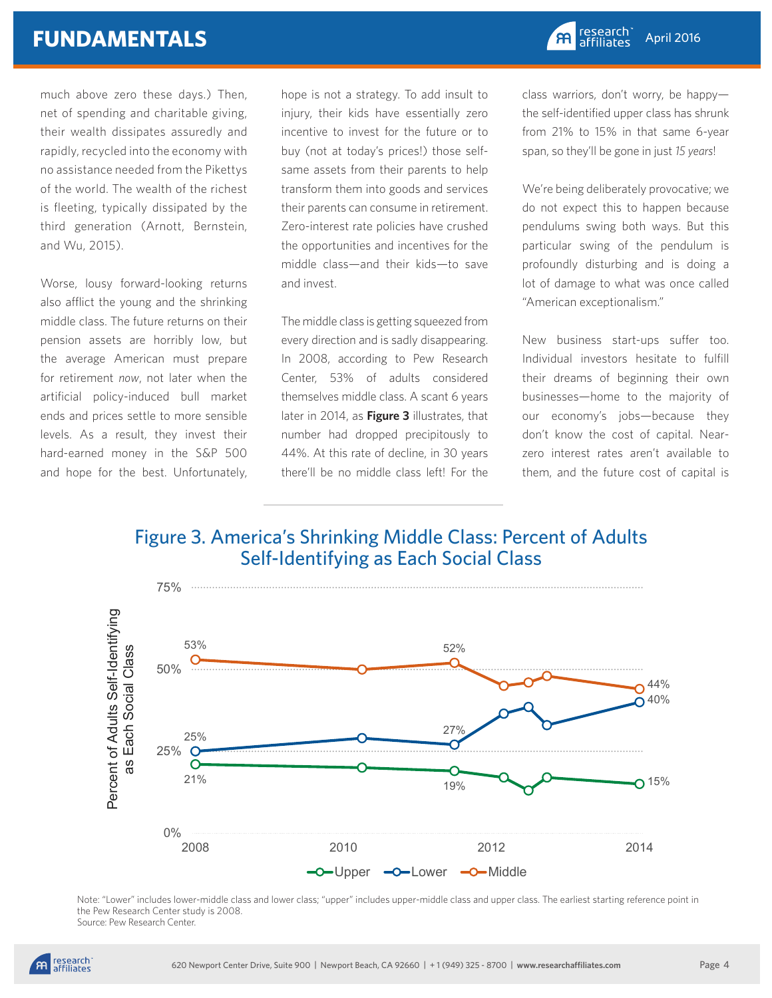## **FUNDAMENTALS**

much above zero these days.) Then, net of spending and charitable giving, their wealth dissipates assuredly and rapidly, recycled into the economy with no assistance needed from the Pikettys of the world. The wealth of the richest is fleeting, typically dissipated by the third generation (Arnott, Bernstein, and Wu, 2015).

Worse, lousy forward-looking returns also afflict the young and the shrinking middle class. The future returns on their pension assets are horribly low, but the average American must prepare for retirement *now*, not later when the artificial policy-induced bull market ends and prices settle to more sensible levels. As a result, they invest their hard-earned money in the S&P 500 and hope for the best. Unfortunately,

hope is not a strategy. To add insult to injury, their kids have essentially zero incentive to invest for the future or to buy (not at today's prices!) those selfsame assets from their parents to help transform them into goods and services their parents can consume in retirement. Zero-interest rate policies have crushed the opportunities and incentives for the middle class—and their kids—to save and invest.

The middle class is getting squeezed from every direction and is sadly disappearing. In 2008, according to Pew Research Center, 53% of adults considered themselves middle class. A scant 6 years later in 2014, as **Figure 3** illustrates, that number had dropped precipitously to 44%. At this rate of decline, in 30 years there'll be no middle class left! For the

class warriors, don't worry, be happy the self-identified upper class has shrunk from 21% to 15% in that same 6-year span, so they'll be gone in just *15 years*!

We're being deliberately provocative; we do not expect this to happen because pendulums swing both ways. But this particular swing of the pendulum is profoundly disturbing and is doing a lot of damage to what was once called "American exceptionalism."

New business start-ups suffer too. Individual investors hesitate to fulfill their dreams of beginning their own businesses—home to the majority of our economy's jobs—because they don't know the cost of capital. Nearzero interest rates aren't available to them, and the future cost of capital is

### Figure 3. America's Shrinking Middle Class: Percent of Adults Self-Identifying as Each Social Class



Note: "Lower" includes lower-middle class and lower class; "upper" includes upper-middle class and upper class. The earliest starting reference point in the Pew Research Center study is 2008. Source: Pew Research Center.